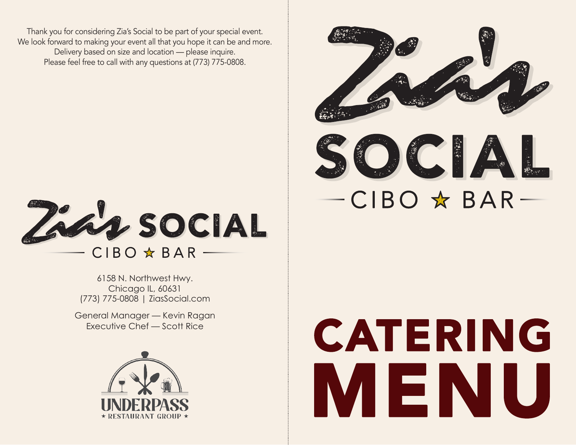Thank you for considering Zia's Social to be part of your special event. We look forward to making your event all that you hope it can be and more. Delivery based on size and location — please inquire. Please feel free to call with any questions at (773) 775-0808.



6158 N. Northwest Hwy. Chicago IL, 60631 (773) 775-0808 | ZiasSocial.com

General Manager — Kevin Ragan Executive Chef — Scott Rice





# CATERING MENU